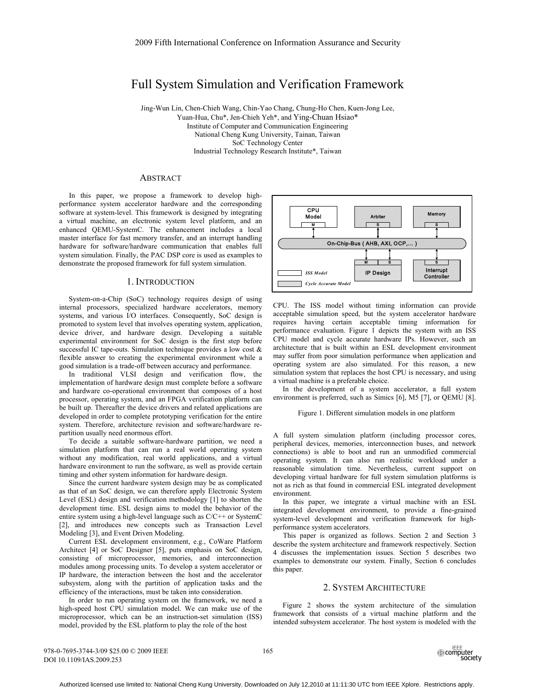# Full System Simulation and Verification Framework

Jing-Wun Lin, Chen-Chieh Wang, Chin-Yao Chang, Chung-Ho Chen, Kuen-Jong Lee, Yuan-Hua, Chu\*, Jen-Chieh Yeh\*, and Ying-Chuan Hsiao\* Institute of Computer and Communication Engineering National Cheng Kung University, Tainan, Taiwan SoC Technology Center Industrial Technology Research Institute\*, Taiwan

# ABSTRACT

In this paper, we propose a framework to develop highperformance system accelerator hardware and the corresponding software at system-level. This framework is designed by integrating a virtual machine, an electronic system level platform, and an enhanced QEMU-SystemC. The enhancement includes a local master interface for fast memory transfer, and an interrupt handling hardware for software/hardware communication that enables full system simulation. Finally, the PAC DSP core is used as examples to demonstrate the proposed framework for full system simulation.

## 1. INTRODUCTION

System-on-a-Chip (SoC) technology requires design of using internal processors, specialized hardware accelerators, memory systems, and various I/O interfaces. Consequently, SoC design is promoted to system level that involves operating system, application, device driver, and hardware design. Developing a suitable experimental environment for SoC design is the first step before successful IC tape-outs. Simulation technique provides a low cost & flexible answer to creating the experimental environment while a good simulation is a trade-off between accuracy and performance.

In traditional VLSI design and verification flow, the implementation of hardware design must complete before a software and hardware co-operational environment that composes of a host processor, operating system, and an FPGA verification platform can be built up. Thereafter the device drivers and related applications are developed in order to complete prototyping verification for the entire system. Therefore, architecture revision and software/hardware repartition usually need enormous effort.

To decide a suitable software-hardware partition, we need a simulation platform that can run a real world operating system without any modification, real world applications, and a virtual hardware environment to run the software, as well as provide certain timing and other system information for hardware design.

Since the current hardware system design may be as complicated as that of an SoC design, we can therefore apply Electronic System Level (ESL) design and verification methodology [1] to shorten the development time. ESL design aims to model the behavior of the entire system using a high-level language such as C/C++ or SystemC [2], and introduces new concepts such as Transaction Level Modeling [3], and Event Driven Modeling.

Current ESL development environment, e.g., CoWare Platform Architect [4] or SoC Designer [5], puts emphasis on SoC design, consisting of microprocessor, memories, and interconnection modules among processing units. To develop a system accelerator or IP hardware, the interaction between the host and the accelerator subsystem, along with the partition of application tasks and the efficiency of the interactions, must be taken into consideration.

In order to run operating system on the framework, we need a high-speed host CPU simulation model. We can make use of the microprocessor, which can be an instruction-set simulation (ISS) model, provided by the ESL platform to play the role of the host



CPU. The ISS model without timing information can provide acceptable simulation speed, but the system accelerator hardware requires having certain acceptable timing information for performance evaluation. Figure 1 depicts the system with an ISS CPU model and cycle accurate hardware IPs. However, such an architecture that is built within an ESL development environment may suffer from poor simulation performance when application and operating system are also simulated. For this reason, a new simulation system that replaces the host CPU is necessary, and using a virtual machine is a preferable choice.

In the development of a system accelerator, a full system environment is preferred, such as Simics [6], M5 [7], or QEMU [8].

Figure 1. Different simulation models in one platform

A full system simulation platform (including processor cores, peripheral devices, memories, interconnection buses, and network connections) is able to boot and run an unmodified commercial operating system. It can also run realistic workload under a reasonable simulation time. Nevertheless, current support on developing virtual hardware for full system simulation platforms is not as rich as that found in commercial ESL integrated development environment.

In this paper, we integrate a virtual machine with an ESL integrated development environment, to provide a fine-grained system-level development and verification framework for highperformance system accelerators.

This paper is organized as follows. Section 2 and Section 3 describe the system architecture and framework respectively. Section 4 discusses the implementation issues. Section 5 describes two examples to demonstrate our system. Finally, Section 6 concludes this paper.

# 2. SYSTEM ARCHITECTURE

Figure 2 shows the system architecture of the simulation framework that consists of a virtual machine platform and the intended subsystem accelerator. The host system is modeled with the

978-0-7695-3744-3/09 \$25.00 © 2009 IEEE DOI 10.1109/IAS.2009.253

165

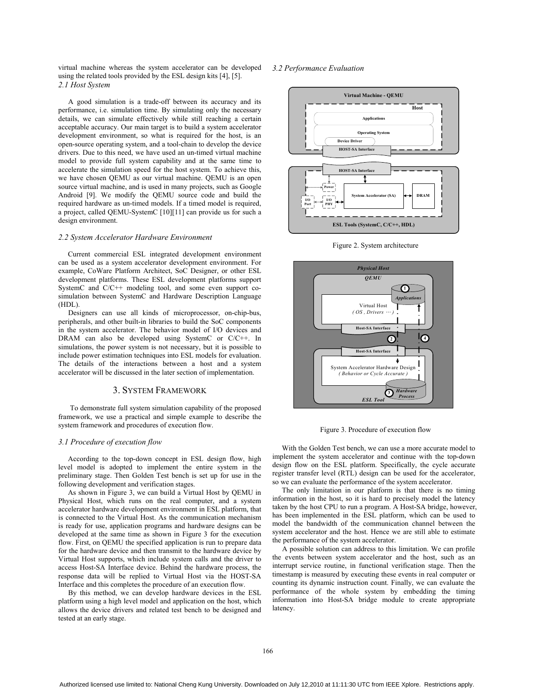virtual machine whereas the system accelerator can be developed using the related tools provided by the ESL design kits [4], [5]. *2.1 Host System* 

A good simulation is a trade-off between its accuracy and its performance, i.e. simulation time. By simulating only the necessary details, we can simulate effectively while still reaching a certain acceptable accuracy. Our main target is to build a system accelerator development environment, so what is required for the host, is an open-source operating system, and a tool-chain to develop the device drivers. Due to this need, we have used an un-timed virtual machine model to provide full system capability and at the same time to accelerate the simulation speed for the host system. To achieve this, we have chosen QEMU as our virtual machine. QEMU is an open source virtual machine, and is used in many projects, such as Google Android [9]. We modify the QEMU source code and build the required hardware as un-timed models. If a timed model is required, a project, called QEMU-SystemC [10][11] can provide us for such a design environment.

#### *2.2 System Accelerator Hardware Environment*

Current commercial ESL integrated development environment can be used as a system accelerator development environment. For example, CoWare Platform Architect, SoC Designer, or other ESL development platforms. These ESL development platforms support SystemC and C/C++ modeling tool, and some even support cosimulation between SystemC and Hardware Description Language (HDL).

Designers can use all kinds of microprocessor, on-chip-bus, peripherals, and other built-in libraries to build the SoC components in the system accelerator. The behavior model of I/O devices and DRAM can also be developed using SystemC or C/C++. In simulations, the power system is not necessary, but it is possible to include power estimation techniques into ESL models for evaluation. The details of the interactions between a host and a system accelerator will be discussed in the later section of implementation.

# 3. SYSTEM FRAMEWORK

 To demonstrate full system simulation capability of the proposed framework, we use a practical and simple example to describe the system framework and procedures of execution flow.

#### *3.1 Procedure of execution flow*

According to the top-down concept in ESL design flow, high level model is adopted to implement the entire system in the preliminary stage. Then Golden Test bench is set up for use in the following development and verification stages.

As shown in Figure 3, we can build a Virtual Host by QEMU in Physical Host, which runs on the real computer, and a system accelerator hardware development environment in ESL platform, that is connected to the Virtual Host. As the communication mechanism is ready for use, application programs and hardware designs can be developed at the same time as shown in Figure 3 for the execution flow. First, on QEMU the specified application is run to prepare data for the hardware device and then transmit to the hardware device by Virtual Host supports, which include system calls and the driver to access Host-SA Interface device. Behind the hardware process, the response data will be replied to Virtual Host via the HOST-SA Interface and this completes the procedure of an execution flow.

By this method, we can develop hardware devices in the ESL platform using a high level model and application on the host, which allows the device drivers and related test bench to be designed and tested at an early stage.

#### *3.2 Performance Evaluation*



Figure 2. System architecture



Figure 3. Procedure of execution flow

With the Golden Test bench, we can use a more accurate model to implement the system accelerator and continue with the top-down design flow on the ESL platform. Specifically, the cycle accurate register transfer level (RTL) design can be used for the accelerator, so we can evaluate the performance of the system accelerator.

The only limitation in our platform is that there is no timing information in the host, so it is hard to precisely model the latency taken by the host CPU to run a program. A Host-SA bridge, however, has been implemented in the ESL platform, which can be used to model the bandwidth of the communication channel between the system accelerator and the host. Hence we are still able to estimate the performance of the system accelerator.

A possible solution can address to this limitation. We can profile the events between system accelerator and the host, such as an interrupt service routine, in functional verification stage. Then the timestamp is measured by executing these events in real computer or counting its dynamic instruction count. Finally, we can evaluate the performance of the whole system by embedding the timing information into Host-SA bridge module to create appropriate latency.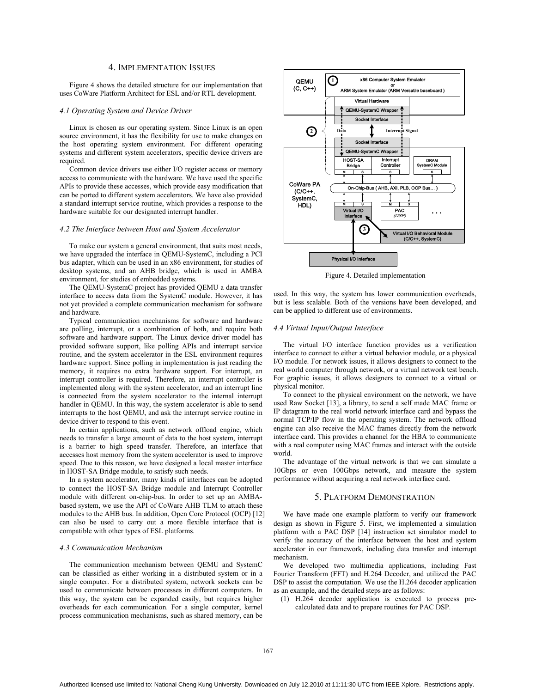# 4. IMPLEMENTATION ISSUES

Figure 4 shows the detailed structure for our implementation that uses CoWare Platform Architect for ESL and/or RTL development.

### *4.1 Operating System and Device Driver*

Linux is chosen as our operating system. Since Linux is an open source environment, it has the flexibility for use to make changes on the host operating system environment. For different operating systems and different system accelerators, specific device drivers are required.

Common device drivers use either I/O register access or memory access to communicate with the hardware. We have used the specific APIs to provide these accesses, which provide easy modification that can be ported to different system accelerators. We have also provided a standard interrupt service routine, which provides a response to the hardware suitable for our designated interrupt handler.

#### *4.2 The Interface between Host and System Accelerator*

To make our system a general environment, that suits most needs, we have upgraded the interface in QEMU-SystemC, including a PCI bus adapter, which can be used in an x86 environment, for studies of desktop systems, and an AHB bridge, which is used in AMBA environment, for studies of embedded systems.

The QEMU-SystemC project has provided QEMU a data transfer interface to access data from the SystemC module. However, it has not yet provided a complete communication mechanism for software and hardware.

Typical communication mechanisms for software and hardware are polling, interrupt, or a combination of both, and require both software and hardware support. The Linux device driver model has provided software support, like polling APIs and interrupt service routine, and the system accelerator in the ESL environment requires hardware support. Since polling in implementation is just reading the memory, it requires no extra hardware support. For interrupt, an interrupt controller is required. Therefore, an interrupt controller is implemented along with the system accelerator, and an interrupt line is connected from the system accelerator to the internal interrupt handler in QEMU. In this way, the system accelerator is able to send interrupts to the host QEMU, and ask the interrupt service routine in device driver to respond to this event.

In certain applications, such as network offload engine, which needs to transfer a large amount of data to the host system, interrupt is a barrier to high speed transfer. Therefore, an interface that accesses host memory from the system accelerator is used to improve speed. Due to this reason, we have designed a local master interface in HOST-SA Bridge module, to satisfy such needs.

In a system accelerator, many kinds of interfaces can be adopted to connect the HOST-SA Bridge module and Interrupt Controller module with different on-chip-bus. In order to set up an AMBAbased system, we use the API of CoWare AHB TLM to attach these modules to the AHB bus. In addition, Open Core Protocol (OCP) [12] can also be used to carry out a more flexible interface that is compatible with other types of ESL platforms.

#### *4.3 Communication Mechanism*

The communication mechanism between QEMU and SystemC can be classified as either working in a distributed system or in a single computer. For a distributed system, network sockets can be used to communicate between processes in different computers. In this way, the system can be expanded easily, but requires higher overheads for each communication. For a single computer, kernel process communication mechanisms, such as shared memory, can be



Figure 4. Detailed implementation

used. In this way, the system has lower communication overheads, but is less scalable. Both of the versions have been developed, and can be applied to different use of environments.

## *4.4 Virtual Input/Output Interface*

The virtual I/O interface function provides us a verification interface to connect to either a virtual behavior module, or a physical I/O module. For network issues, it allows designers to connect to the real world computer through network, or a virtual network test bench. For graphic issues, it allows designers to connect to a virtual or physical monitor.

To connect to the physical environment on the network, we have used Raw Socket [13], a library, to send a self made MAC frame or IP datagram to the real world network interface card and bypass the normal TCP/IP flow in the operating system. The network offload engine can also receive the MAC frames directly from the network interface card. This provides a channel for the HBA to communicate with a real computer using MAC frames and interact with the outside world.

The advantage of the virtual network is that we can simulate a 10Gbps or even 100Gbps network, and measure the system performance without acquiring a real network interface card.

## 5. PLATFORM DEMONSTRATION

We have made one example platform to verify our framework design as shown in Figure 5. First, we implemented a simulation platform with a PAC DSP [14] instruction set simulator model to verify the accuracy of the interface between the host and system accelerator in our framework, including data transfer and interrupt mechanism.

We developed two multimedia applications, including Fast Fourier Transform (FFT) and H.264 Decoder, and utilized the PAC DSP to assist the computation. We use the H.264 decoder application as an example, and the detailed steps are as follows:

(1) H.264 decoder application is executed to process precalculated data and to prepare routines for PAC DSP.